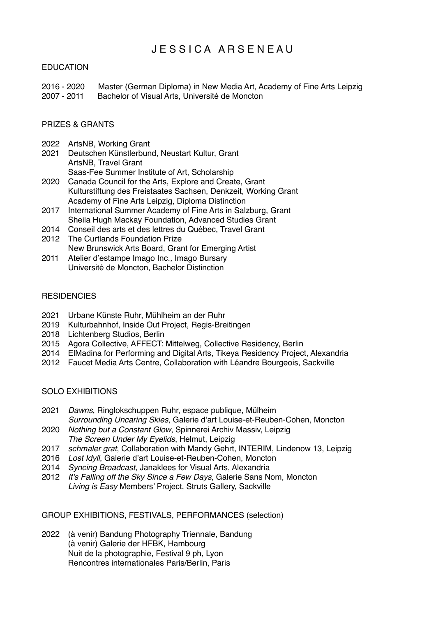# J E S S I C A A R S E N E A U

## **EDUCATION**

2016 - 2020 Master (German Diploma) in New Media Art, Academy of Fine Arts Leipzig 2007 - 2011 Bachelor of Visual Arts, Université de Moncton

### PRIZES & GRANTS

- 2022 ArtsNB, Working Grant
- 2021 Deutschen Künstlerbund, Neustart Kultur, Grant ArtsNB, Travel Grant Saas-Fee Summer Institute of Art, Scholarship
- 2020 Canada Council for the Arts, Explore and Create, Grant Kulturstiftung des Freistaates Sachsen, Denkzeit, Working Grant Academy of Fine Arts Leipzig, Diploma Distinction
- 2017 International Summer Academy of Fine Arts in Salzburg, Grant Sheila Hugh Mackay Foundation, Advanced Studies Grant
- 2014 Conseil des arts et des lettres du Québec, Travel Grant
- 2012 The Curtlands Foundation Prize New Brunswick Arts Board, Grant for Emerging Artist
- 2011 Atelier d'estampe Imago Inc.*,* Imago Bursary Université de Moncton, Bachelor Distinction

#### **RESIDENCIES**

- 2021 Urbane Künste Ruhr, Mühlheim an der Ruhr
- 2019 Kulturbahnhof, Inside Out Project, Regis-Breitingen
- 2018 Lichtenberg Studios, Berlin
- 2015 Agora Collective, AFFECT: Mittelweg, Collective Residency, Berlin
- 2014 ElMadina for Performing and Digital Arts, Tikeya Residency Project, Alexandria
- 2012 Faucet Media Arts Centre, Collaboration with Léandre Bourgeois, Sackville

#### SOLO EXHIBITIONS

- 2021 *Dawns*, Ringlokschuppen Ruhr, espace publique, Mülheim *Surrounding Uncaring Skies*, Galerie d'art Louise-et-Reuben-Cohen, Moncton
- 2020 *Nothing but a Constant Glow*, Spinnerei Archiv Massiv, Leipzig *The Screen Under My Eyelids*, Helmut, Leipzig
- 2017 *schmaler grat*, Collaboration with Mandy Gehrt, INTERIM, Lindenow 13, Leipzig
- 2016 *Lost Idyll*, Galerie d'art Louise-et-Reuben-Cohen, Moncton
- 2014 *Syncing Broadcast*, Janaklees for Visual Arts, Alexandria
- 2012 *It's Falling off the Sky Since a Few Days*, Galerie Sans Nom, Moncton *Living is Easy* Members' Project, Struts Gallery, Sackville

## GROUP EXHIBITIONS, FESTIVALS, PERFORMANCES (selection)

2022 (à venir) Bandung Photography Triennale, Bandung (à venir) Galerie der HFBK, Hambourg Nuit de la photographie, Festival 9 ph, Lyon Rencontres internationales Paris/Berlin, Paris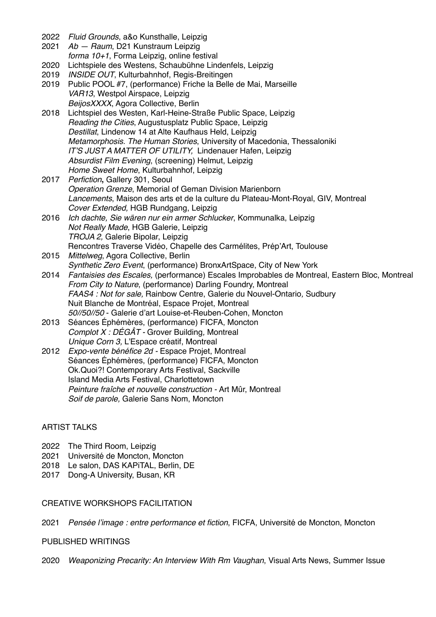| 2022 | Fluid Grounds, a&o Kunsthalle, Leipzig                                                        |
|------|-----------------------------------------------------------------------------------------------|
| 2021 | Ab - Raum, D21 Kunstraum Leipzig<br>forma 10+1, Forma Leipzig, online festival                |
| 2020 | Lichtspiele des Westens, Schaubühne Lindenfels, Leipzig                                       |
| 2019 | <b>INSIDE OUT, Kulturbahnhof, Regis-Breitingen</b>                                            |
| 2019 | Public POOL #7, (performance) Friche la Belle de Mai, Marseille                               |
|      | VAR13, Westpol Airspace, Leipzig                                                              |
|      | BeijosXXXX, Agora Collective, Berlin                                                          |
| 2018 | Lichtspiel des Westen, Karl-Heine-Straße Public Space, Leipzig                                |
|      | Reading the Cities, Augustusplatz Public Space, Leipzig                                       |
|      | Destillat, Lindenow 14 at Alte Kaufhaus Held, Leipzig                                         |
|      | Metamorphosis. The Human Stories, University of Macedonia, Thessaloniki                       |
|      | IT'S JUST A MATTER OF UTILITY, Lindenauer Hafen, Leipzig                                      |
|      | Absurdist Film Evening, (screening) Helmut, Leipzig                                           |
|      | Home Sweet Home, Kulturbahnhof, Leipzig                                                       |
| 2017 | Perfiction, Gallery 301, Seoul                                                                |
|      | Operation Grenze, Memorial of Geman Division Marienborn                                       |
|      | Lancements, Maison des arts et de la culture du Plateau-Mont-Royal, GIV, Montreal             |
|      | Cover Extended, HGB Rundgang, Leipzig                                                         |
| 2016 | Ich dachte, Sie wären nur ein armer Schlucker, Kommunalka, Leipzig                            |
|      | Not Really Made, HGB Galerie, Leipzig                                                         |
|      | TROJA 2, Galerie Bipolar, Leipzig                                                             |
|      | Rencontres Traverse Vidéo, Chapelle des Carmélites, Prép'Art, Toulouse                        |
| 2015 | Mittelweg, Agora Collective, Berlin                                                           |
|      | Synthetic Zero Event, (performance) BronxArtSpace, City of New York                           |
| 2014 | Fantaisies des Escales, (performance) Escales Improbables de Montreal, Eastern Bloc, Montreal |
|      | From City to Nature, (performance) Darling Foundry, Montreal                                  |
|      | FAAS4 : Not for sale, Rainbow Centre, Galerie du Nouvel-Ontario, Sudbury                      |
|      | Nuit Blanche de Montréal, Espace Projet, Montreal                                             |
|      | 50//50//50 - Galerie d'art Louise-et-Reuben-Cohen, Moncton                                    |
| 2013 | Séances Éphémères, (performance) FICFA, Moncton                                               |
|      | Complot X: DÉGÂT - Grover Building, Montreal                                                  |
|      | Unique Corn 3, L'Espace créatif, Montreal                                                     |
| 2012 | Expo-vente bénéfice 2d - Espace Projet, Montreal                                              |
|      | Séances Éphémères, (performance) FICFA, Moncton                                               |
|      | Ok. Quoi?! Contemporary Arts Festival, Sackville                                              |
|      | Island Media Arts Festival, Charlottetown                                                     |
|      | Peinture fraîche et nouvelle construction - Art Mûr, Montreal                                 |
|      | Soif de parole, Galerie Sans Nom, Moncton                                                     |

## ARTIST TALKS

- 2022 The Third Room, Leipzig
- 2021 Université de Moncton, Moncton
- 2018 Le salon, DAS KAPiTAL, Berlin, DE
- 2017 Dong-A University, Busan, KR

## CREATIVE WORKSHOPS FACILITATION

2021 *Pensée l'image : entre performance et fiction*, FICFA, Université de Moncton, Moncton

## PUBLISHED WRITINGS

2020 *Weaponizing Precarity: An Interview With Rm Vaughan*, Visual Arts News, Summer Issue